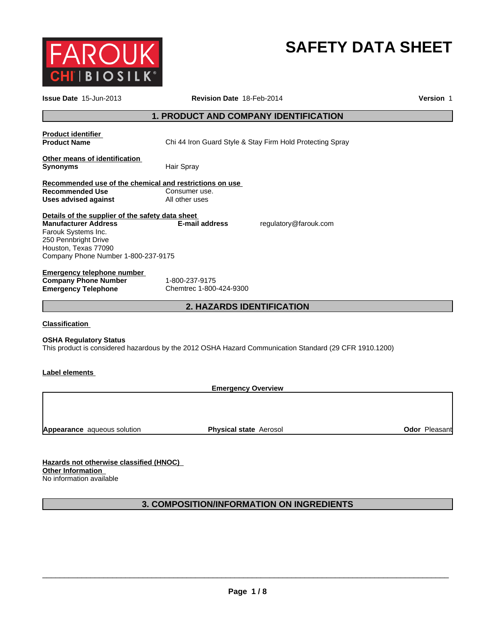

# **SAFETY DATA SHEET**

| <b>1. PRODUCT AND COMPANY IDENTIFICATION</b><br><b>Product identifier</b><br><b>Product Name</b><br>Chi 44 Iron Guard Style & Stay Firm Hold Protecting Spray                                                                            |
|------------------------------------------------------------------------------------------------------------------------------------------------------------------------------------------------------------------------------------------|
|                                                                                                                                                                                                                                          |
|                                                                                                                                                                                                                                          |
| Other means of identification<br><b>Synonyms</b><br>Hair Spray                                                                                                                                                                           |
| Recommended use of the chemical and restrictions on use<br><b>Recommended Use</b><br>Consumer use.<br>All other uses<br><b>Uses advised against</b>                                                                                      |
| Details of the supplier of the safety data sheet<br><b>Manufacturer Address</b><br>E-mail address<br>regulatory@farouk.com<br>Farouk Systems Inc.<br>250 Pennbright Drive<br>Houston, Texas 77090<br>Company Phone Number 1-800-237-9175 |
| <b>Emergency telephone number</b><br><b>Company Phone Number</b><br>1-800-237-9175<br>Chemtrec 1-800-424-9300<br><b>Emergency Telephone</b>                                                                                              |
| 2. HAZARDS IDENTIFICATION                                                                                                                                                                                                                |
| <b>Classification</b><br><b>OSHA Regulatory Status</b><br>This product is considered hazardous by the 2012 OSHA Hazard Communication Standard (29 CFR 1910.1200)                                                                         |
| Label elements                                                                                                                                                                                                                           |
| <b>Emergency Overview</b>                                                                                                                                                                                                                |
| <b>Odor Pleasant</b><br><b>Physical state Aerosol</b><br><b>Appearance</b> aqueous solution                                                                                                                                              |
| Hazards not otherwise classified (HNOC)<br><b>Other Information</b><br>No information available                                                                                                                                          |
| 3. COMPOSITION/INFORMATION ON INGREDIENTS                                                                                                                                                                                                |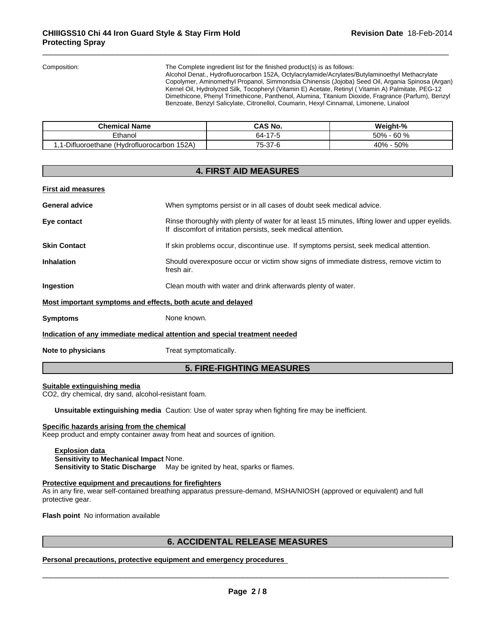Composition: The Complete ingredient list for the finished product(s) is as follows:

Alcohol Denat., Hydrofluorocarbon 152A, Octylacrylamide/Acrylates/Butylaminoethyl Methacrylate Copolymer, Aminomethyl Propanol, Simmondsia Chinensis (Jojoba) Seed Oil, Argania Spinosa (Argan) Kernel Oil, Hydrolyzed Silk, Tocopheryl (Vitamin E) Acetate, Retinyl ( Vitamin A) Palmitate, PEG-12 Dimethicone, Phenyl Trimethicone, Panthenol, Alumina, Titanium Dioxide, Fragrance (Parfum), Benzyl Benzoate, Benzyl Salicylate, Citronellol, Coumarin, Hexyl Cinnamal, Limonene, Linalool

| <b>Chemical Name</b>                             | <b>CAS No.</b>           | Weight-%      |
|--------------------------------------------------|--------------------------|---------------|
| Ethanol                                          | 17<br>-<br>64-<br>$\sim$ | - 60 %<br>50% |
| -Difluoroethane (Hvdroflu<br>152A<br>luorocarbon | 75-37-6                  | 40% - 50%     |

# **4. FIRST AID MEASURES First aid measures General advice** When symptoms persist or in all cases of doubt seek medical advice. **Eye contact Rinse thoroughly with plenty of water for at least 15 minutes, lifting lower and upper eyelids.** If discomfort of irritation persists, seek medical attention. **Skin Contact** If skin problems occur, discontinue use. If symptoms persist, seek medical attention. **Inhalation** Should overexposure occur or victim show signs of immediate distress, remove victim to fresh air. **Ingestion Clean mouth with water and drink afterwards plenty of water. Most important symptoms and effects, both acute and delayed Symptoms** None known. **Indication of any immediate medical attention and special treatment needed Note to physicians** Treat symptomatically.

# **5. FIRE-FIGHTING MEASURES**

## **Suitable extinguishing media**

CO2, dry chemical, dry sand, alcohol-resistant foam.

**Unsuitable extinguishing media** Caution: Use of water spray when fighting fire may be inefficient.

## **Specific hazards arising from the chemical**

Keep product and empty container away from heat and sources of ignition.

**Explosion data Sensitivity to Mechanical Impact** None. **Sensitivity to Static Discharge** May be ignited by heat, sparks or flames.

## **Protective equipment and precautions for firefighters**

As in any fire, wear self-contained breathing apparatus pressure-demand, MSHA/NIOSH (approved or equivalent) and full protective gear.

**Flash point** No information available

\_\_\_\_\_\_\_\_\_\_\_\_\_\_\_\_\_\_\_\_\_\_\_\_\_\_\_\_\_\_\_\_\_\_\_\_\_\_\_\_\_\_\_\_\_\_\_\_\_\_\_\_\_\_\_\_\_\_\_\_\_\_\_\_\_\_\_\_\_\_\_\_\_\_\_\_\_\_\_\_\_\_\_\_\_\_\_\_\_\_\_\_\_ **6. ACCIDENTAL RELEASE MEASURES Personal precautions, protective equipment and emergency procedures**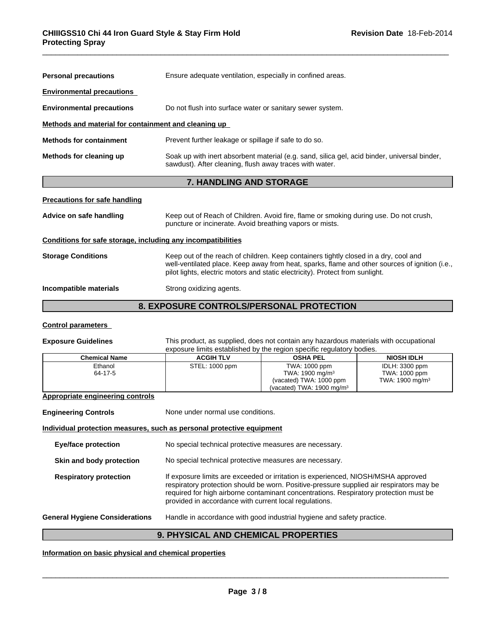| <b>Personal precautions</b>                                  | Ensure adequate ventilation, especially in confined areas.                                                                                                                                                                                                              |
|--------------------------------------------------------------|-------------------------------------------------------------------------------------------------------------------------------------------------------------------------------------------------------------------------------------------------------------------------|
| <b>Environmental precautions</b>                             |                                                                                                                                                                                                                                                                         |
| <b>Environmental precautions</b>                             | Do not flush into surface water or sanitary sewer system.                                                                                                                                                                                                               |
| Methods and material for containment and cleaning up         |                                                                                                                                                                                                                                                                         |
| <b>Methods for containment</b>                               | Prevent further leakage or spillage if safe to do so.                                                                                                                                                                                                                   |
| Methods for cleaning up                                      | Soak up with inert absorbent material (e.g. sand, silica gel, acid binder, universal binder,<br>sawdust). After cleaning, flush away traces with water.                                                                                                                 |
|                                                              | <b>7. HANDLING AND STORAGE</b>                                                                                                                                                                                                                                          |
| <b>Precautions for safe handling</b>                         |                                                                                                                                                                                                                                                                         |
| Advice on safe handling                                      | Keep out of Reach of Children. Avoid fire, flame or smoking during use. Do not crush,<br>puncture or incinerate. Avoid breathing vapors or mists.                                                                                                                       |
| Conditions for safe storage, including any incompatibilities |                                                                                                                                                                                                                                                                         |
| <b>Storage Conditions</b>                                    | Keep out of the reach of children. Keep containers tightly closed in a dry, cool and<br>well-ventilated place. Keep away from heat, sparks, flame and other sources of ignition (i.e.,<br>pilot lights, electric motors and static electricity). Protect from sunlight. |
| Incompatible materials                                       | Strong oxidizing agents.                                                                                                                                                                                                                                                |
|                                                              | 8. EXPOSURE CONTROLS/PERSONAL PROTECTION                                                                                                                                                                                                                                |

# **Control parameters**

**Exposure Guidelines** This product, as supplied, does not contain any hazardous materials with occupational exposure limits established by the region specific regulatory bodies.

| <b>Chemical Name</b> | <b>ACGIH TLV</b> | <b>OSHA PEL</b>                      | <b>NIOSH IDLH</b>           |
|----------------------|------------------|--------------------------------------|-----------------------------|
| Ethanol              | STEL: 1000 ppm   | TWA: 1000 ppm                        | IDLH: 3300 ppm              |
| 64-17-5              |                  | TWA: $1900 \text{ mg/m}^3$           | TWA: 1000 ppm               |
|                      |                  | (vacated) TWA: 1000 ppm              | TWA: 1900 mg/m <sup>3</sup> |
|                      |                  | (vacated) TWA: $1900 \text{ mg/m}^3$ |                             |
|                      |                  |                                      |                             |

# **Appropriate engineering controls**

| <b>Engineering Controls</b>           | None under normal use conditions.                                                                                                                                                                                                                                                                                                |
|---------------------------------------|----------------------------------------------------------------------------------------------------------------------------------------------------------------------------------------------------------------------------------------------------------------------------------------------------------------------------------|
|                                       | Individual protection measures, such as personal protective equipment                                                                                                                                                                                                                                                            |
| <b>Eye/face protection</b>            | No special technical protective measures are necessary.                                                                                                                                                                                                                                                                          |
| Skin and body protection              | No special technical protective measures are necessary.                                                                                                                                                                                                                                                                          |
| <b>Respiratory protection</b>         | If exposure limits are exceeded or irritation is experienced, NIOSH/MSHA approved<br>respiratory protection should be worn. Positive-pressure supplied air respirators may be<br>required for high airborne contaminant concentrations. Respiratory protection must be<br>provided in accordance with current local regulations. |
| <b>General Hygiene Considerations</b> | Handle in accordance with good industrial hygiene and safety practice.                                                                                                                                                                                                                                                           |
|                                       |                                                                                                                                                                                                                                                                                                                                  |

# **9. PHYSICAL AND CHEMICAL PROPERTIES**

# **Information on basic physical and chemical properties**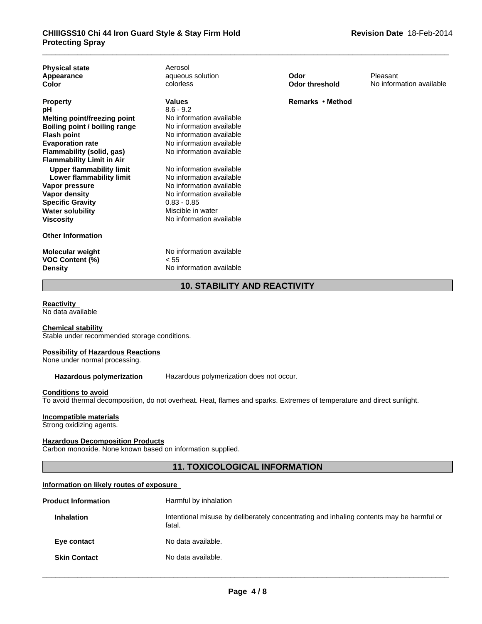| <b>Physical state</b><br>Appearance<br>Color | Aerosol<br>aqueous solution<br>colorless | Odor<br><b>Odor threshold</b> | Pleasant<br>No information available |
|----------------------------------------------|------------------------------------------|-------------------------------|--------------------------------------|
|                                              |                                          |                               |                                      |
| <b>Property</b>                              | <b>Values</b>                            | Remarks • Method              |                                      |
| рH                                           | $8.6 - 9.2$                              |                               |                                      |
| Melting point/freezing point                 | No information available                 |                               |                                      |
| Boiling point / boiling range                | No information available                 |                               |                                      |
| Flash point                                  | No information available                 |                               |                                      |
| <b>Evaporation rate</b>                      | No information available                 |                               |                                      |
| <b>Flammability (solid, gas)</b>             | No information available                 |                               |                                      |
| <b>Flammability Limit in Air</b>             |                                          |                               |                                      |
| <b>Upper flammability limit</b>              | No information available                 |                               |                                      |
| Lower flammability limit                     | No information available                 |                               |                                      |
| Vapor pressure                               | No information available                 |                               |                                      |
| Vapor density                                | No information available                 |                               |                                      |
| <b>Specific Gravity</b>                      | $0.83 - 0.85$                            |                               |                                      |
| <b>Water solubility</b>                      | Miscible in water                        |                               |                                      |
| <b>Viscosity</b>                             | No information available                 |                               |                                      |
| <b>Other Information</b>                     |                                          |                               |                                      |
| Molecular weight                             | No information available                 |                               |                                      |
| <b>VOC Content (%)</b>                       | < 55                                     |                               |                                      |
| <b>Density</b>                               | No information available                 |                               |                                      |
|                                              | <b>10. STABILITY AND REACTIVITY</b>      |                               |                                      |
|                                              |                                          |                               |                                      |

# **Reactivity**

No data available

#### **Chemical stability**

Stable under recommended storage conditions.

# **Possibility of Hazardous Reactions**

None under normal processing.

**Hazardous polymerization** Hazardous polymerization does not occur.

#### **Conditions to avoid**

To avoid thermal decomposition, do not overheat. Heat, flames and sparks. Extremes of temperature and direct sunlight.

# **Incompatible materials**

Strong oxidizing agents.

# **Hazardous Decomposition Products**

Carbon monoxide. None known based on information supplied.

# **11. TOXICOLOGICAL INFORMATION**

# **Information on likely routes of exposure**

| <b>Product Information</b> | Harmful by inhalation                                                                              |
|----------------------------|----------------------------------------------------------------------------------------------------|
| <b>Inhalation</b>          | Intentional misuse by deliberately concentrating and inhaling contents may be harmful or<br>fatal. |
| Eye contact                | No data available.                                                                                 |
| <b>Skin Contact</b>        | No data available.                                                                                 |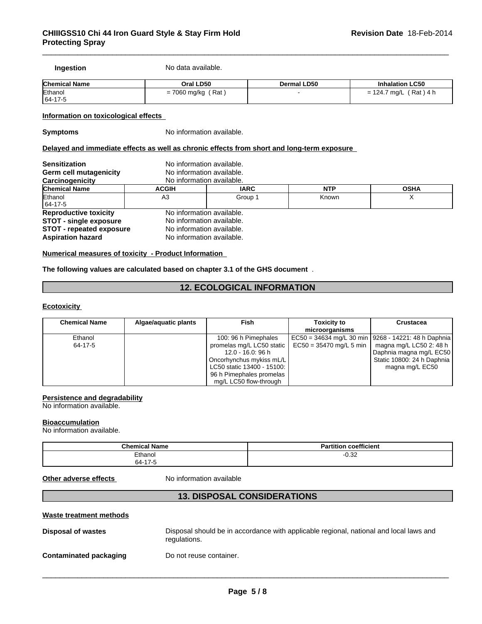**Ingestion** No data available.

| <b>Chemical Name</b> | Oral LD50             | Dermal LD50 | <b>Inhalation LC50</b>                                              |
|----------------------|-----------------------|-------------|---------------------------------------------------------------------|
| Ethanol              | ' Rat<br>= 7060 mg/kg |             | $'$ Rat ) 4 h<br>. 124.7<br>7 ma/L<br>$\overline{\phantom{0}}$<br>= |
| $ 64-17-f$           |                       |             |                                                                     |

**Information on toxicological effects** 

**Symptoms** No information available.

# **Delayed and immediate effects as well as chronic effects from short and long-term exposure**

| <b>Sensitization</b><br>Germ cell mutagenicity | No information available.<br>No information available.<br>No information available. |             |            |             |
|------------------------------------------------|-------------------------------------------------------------------------------------|-------------|------------|-------------|
| Carcinogenicity<br><b>Chemical Name</b>        | <b>ACGIH</b>                                                                        | <b>IARC</b> | <b>NTP</b> | <b>OSHA</b> |
| Ethanol<br>$ 64-17-5 $                         | A3                                                                                  | Group 1     | Known      | ⌒           |
| <b>Reproductive toxicity</b>                   | No information available.                                                           |             |            |             |
| <b>STOT - single exposure</b>                  | No information available.                                                           |             |            |             |
| <b>STOT - repeated exposure</b>                | No information available.                                                           |             |            |             |
| <b>Aspiration hazard</b>                       | No information available.                                                           |             |            |             |

**Numerical measures of toxicity - Product Information** 

# **The following values are calculated based on chapter 3.1 of the GHS document** .

# **12. ECOLOGICAL INFORMATION**

## **Ecotoxicity**

| <b>Chemical Name</b> | Algae/aquatic plants | Fish                         | <b>Toxicity to</b>                                        | <b>Crustacea</b>           |
|----------------------|----------------------|------------------------------|-----------------------------------------------------------|----------------------------|
|                      |                      |                              | microorganisms                                            |                            |
| Ethanol              |                      | 100: 96 h Pimephales         | EC50 = 34634 mg/L 30 min   9268 - 14221: 48 h Daphnia     |                            |
| 64-17-5              |                      |                              | promelas mg/L LC50 static $\vert$ EC50 = 35470 mg/L 5 min | magna mg/L LC50 2: 48 h    |
|                      |                      | 12.0 - 16.0: 96 h            |                                                           | Daphnia magna mg/L EC50    |
|                      |                      | Oncorhynchus mykiss mL/L     |                                                           | Static 10800: 24 h Daphnia |
|                      |                      | LC50 static 13400 - 15100: I |                                                           | magna mg/L EC50            |
|                      |                      | 96 h Pimephales promelas     |                                                           |                            |
|                      |                      | mg/L LC50 flow-through       |                                                           |                            |

# **Persistence and degradability**

No information available.

#### **Bioaccumulation**

No information available.

| <b>Chemical Name</b> | <b>Partition coefficient</b> |
|----------------------|------------------------------|
| Ethanol              | 0.22<br>-∪.ა∠                |
| 64-17-5              |                              |

**Other adverse effects** No information available

# **13. DISPOSAL CONSIDERATIONS**

# **Waste treatment methods**

| Disposal of wastes            | Disposal should be in accordance with applicable regional, national and local laws and<br>regulations. |
|-------------------------------|--------------------------------------------------------------------------------------------------------|
| <b>Contaminated packaging</b> | Do not reuse container.                                                                                |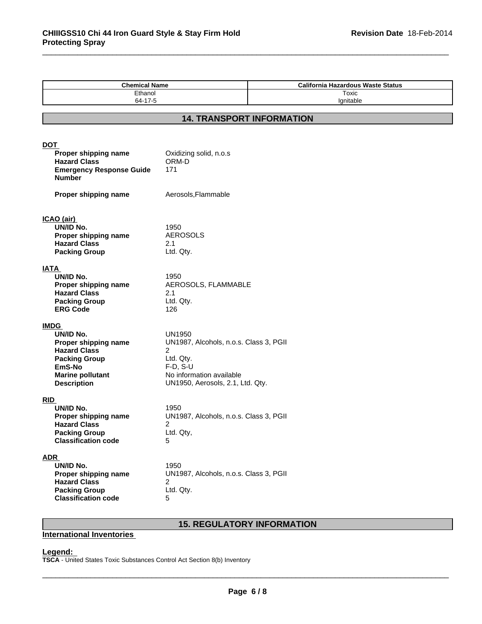| <b>Chemical Name</b><br>Ethanol<br>64-17-5       |                                             | <b>California Hazardous Waste Status</b><br>Toxic<br>Ignitable |  |  |  |  |
|--------------------------------------------------|---------------------------------------------|----------------------------------------------------------------|--|--|--|--|
|                                                  |                                             |                                                                |  |  |  |  |
| <b>14. TRANSPORT INFORMATION</b>                 |                                             |                                                                |  |  |  |  |
|                                                  |                                             |                                                                |  |  |  |  |
| <u>DOT</u>                                       |                                             |                                                                |  |  |  |  |
| Proper shipping name                             | Oxidizing solid, n.o.s                      |                                                                |  |  |  |  |
| <b>Hazard Class</b>                              | ORM-D<br>171                                |                                                                |  |  |  |  |
| <b>Emergency Response Guide</b><br><b>Number</b> |                                             |                                                                |  |  |  |  |
|                                                  |                                             |                                                                |  |  |  |  |
| Proper shipping name                             | Aerosols, Flammable                         |                                                                |  |  |  |  |
|                                                  |                                             |                                                                |  |  |  |  |
| <u>ICAO (air) </u>                               |                                             |                                                                |  |  |  |  |
| UN/ID No.                                        | 1950                                        |                                                                |  |  |  |  |
| Proper shipping name                             | <b>AEROSOLS</b>                             |                                                                |  |  |  |  |
| <b>Hazard Class</b>                              | 2.1                                         |                                                                |  |  |  |  |
| <b>Packing Group</b>                             | Ltd. Qty.                                   |                                                                |  |  |  |  |
| IATA                                             |                                             |                                                                |  |  |  |  |
| UN/ID No.                                        | 1950                                        |                                                                |  |  |  |  |
| Proper shipping name                             | AEROSOLS, FLAMMABLE                         |                                                                |  |  |  |  |
| <b>Hazard Class</b>                              | 2.1                                         |                                                                |  |  |  |  |
| <b>Packing Group</b><br><b>ERG Code</b>          | Ltd. Qty.<br>126                            |                                                                |  |  |  |  |
|                                                  |                                             |                                                                |  |  |  |  |
| <b>IMDG</b>                                      |                                             |                                                                |  |  |  |  |
| UN/ID No.                                        | <b>UN1950</b>                               |                                                                |  |  |  |  |
| Proper shipping name                             | UN1987, Alcohols, n.o.s. Class 3, PGII      |                                                                |  |  |  |  |
| <b>Hazard Class</b>                              | $\overline{c}$                              |                                                                |  |  |  |  |
| <b>Packing Group</b><br>EmS-No                   | Ltd. Qty.<br>$F-D, S-U$                     |                                                                |  |  |  |  |
| <b>Marine pollutant</b>                          | No information available                    |                                                                |  |  |  |  |
| <b>Description</b>                               | UN1950, Aerosols, 2.1, Ltd. Qty.            |                                                                |  |  |  |  |
|                                                  |                                             |                                                                |  |  |  |  |
| RID                                              |                                             |                                                                |  |  |  |  |
| UN/ID No.                                        | 1950                                        |                                                                |  |  |  |  |
| Proper shipping name<br><b>Hazard Class</b>      | UN1987, Alcohols, n.o.s. Class 3, PGII<br>2 |                                                                |  |  |  |  |
| <b>Packing Group</b>                             | Ltd. Qty,                                   |                                                                |  |  |  |  |
| <b>Classification code</b>                       | 5.                                          |                                                                |  |  |  |  |
|                                                  |                                             |                                                                |  |  |  |  |
| <u>ADR_</u><br>UN/ID No.                         | 1950                                        |                                                                |  |  |  |  |
| Proper shipping name                             | UN1987, Alcohols, n.o.s. Class 3, PGII      |                                                                |  |  |  |  |
| <b>Hazard Class</b>                              | 2                                           |                                                                |  |  |  |  |
| <b>Packing Group</b>                             | Ltd. Qty.                                   |                                                                |  |  |  |  |
| <b>Classification code</b>                       | 5                                           |                                                                |  |  |  |  |

# **15. REGULATORY INFORMATION**

# **International Inventories**

# **Legend:**

**TSCA** - United States Toxic Substances Control Act Section 8(b) Inventory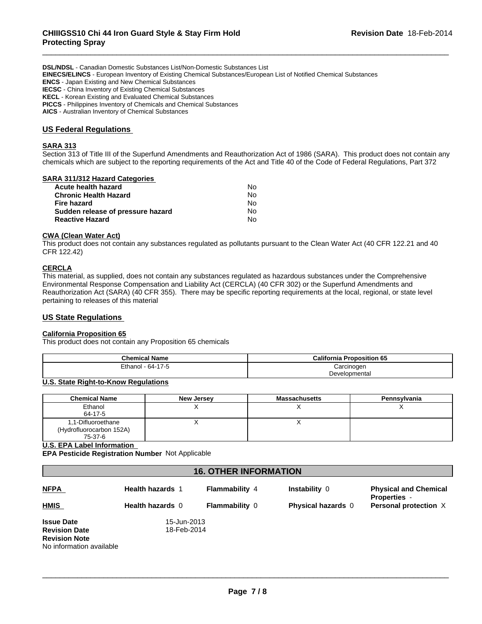**DSL/NDSL** - Canadian Domestic Substances List/Non-Domestic Substances List **EINECS/ELINCS** - European Inventory of Existing Chemical Substances/European List of Notified Chemical Substances **ENCS** - Japan Existing and New Chemical Substances **IECSC** - China Inventory of Existing Chemical Substances **KECL** - Korean Existing and Evaluated Chemical Substances **PICCS** - Philippines Inventory of Chemicals and Chemical Substances **AICS** - Australian Inventory of Chemical Substances

# **US Federal Regulations**

#### **SARA 313**

Section 313 of Title III of the Superfund Amendments and Reauthorization Act of 1986 (SARA). This product does not contain any chemicals which are subject to the reporting requirements of the Act and Title 40 of the Code of Federal Regulations, Part 372

| SARA 311/312 Hazard Categories    |    |  |
|-----------------------------------|----|--|
| Acute health hazard               | No |  |
| <b>Chronic Health Hazard</b>      | No |  |
| <b>Fire hazard</b>                | No |  |
| Sudden release of pressure hazard | No |  |
| <b>Reactive Hazard</b>            | No |  |
|                                   |    |  |

#### **CWA (Clean Water Act)**

This product does not contain any substances regulated as pollutants pursuant to the Clean Water Act (40 CFR 122.21 and 40 CFR 122.42)

#### **CERCLA**

This material, as supplied, does not contain any substances regulated as hazardous substances under the Comprehensive Environmental Response Compensation and Liability Act (CERCLA) (40 CFR 302) or the Superfund Amendments and Reauthorization Act (SARA) (40 CFR 355). There may be specific reporting requirements at the local, regional, or state level pertaining to releases of this material

# **US State Regulations**

### **California Proposition 65**

This product does not contain any Proposition 65 chemicals

| <b>Chemical Name</b> | <b>California Proposition 65</b> |  |
|----------------------|----------------------------------|--|
| 64-17-5<br>Ethanol   | Carcinogen                       |  |
|                      | Developmental                    |  |

# **U.S. State Right-to-Know Regulations**

| <b>Chemical Name</b>                           | New Jersey | <b>Massachusetts</b> | Pennsylvania |
|------------------------------------------------|------------|----------------------|--------------|
| Ethanol                                        |            |                      |              |
| 64-17-5                                        |            |                      |              |
| 1,1-Difluoroethane<br>(Hydrofluorocarbon 152A) |            |                      |              |
| 75-37-6                                        |            |                      |              |

#### **U.S. EPA Label Information**

**EPA Pesticide Registration Number** Not Applicable

# **16. OTHER INFORMATION**

| <b>NFPA</b>                                                                                   | <b>Health hazards 1</b>    | <b>Flammability 4</b> | Instability 0             | <b>Physical and Chemical</b><br><b>Properties -</b> |
|-----------------------------------------------------------------------------------------------|----------------------------|-----------------------|---------------------------|-----------------------------------------------------|
| <b>HMIS</b>                                                                                   | <b>Health hazards 0</b>    | <b>Flammability 0</b> | <b>Physical hazards</b> 0 | Personal protection X                               |
| <b>Issue Date</b><br><b>Revision Date</b><br><b>Revision Note</b><br>No information available | 15-Jun-2013<br>18-Feb-2014 |                       |                           |                                                     |